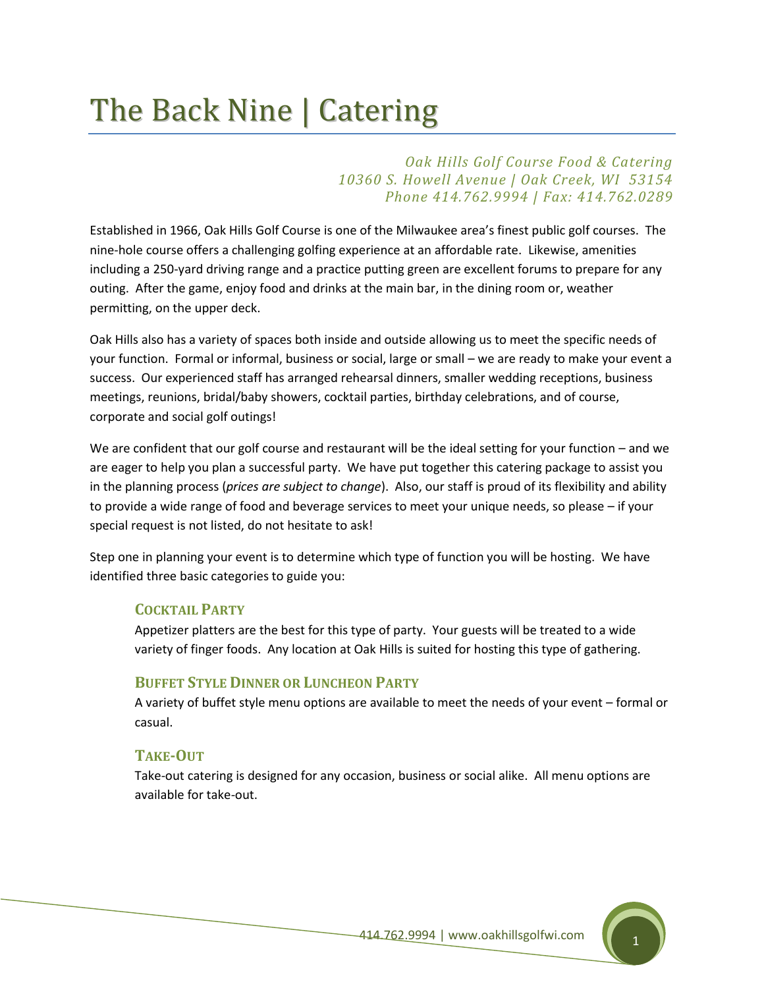# The Back Nine | Catering

# *Oak Hills Golf Course Food & Catering 10360 S. Howell Avenue | Oak Creek, WI 53154 Phone 414.762.9994 | Fax: 414.762.0289*

Established in 1966, Oak Hills Golf Course is one of the Milwaukee area's finest public golf courses. The nine-hole course offers a challenging golfing experience at an affordable rate. Likewise, amenities including a 250-yard driving range and a practice putting green are excellent forums to prepare for any outing. After the game, enjoy food and drinks at the main bar, in the dining room or, weather permitting, on the upper deck.

Oak Hills also has a variety of spaces both inside and outside allowing us to meet the specific needs of your function. Formal or informal, business or social, large or small – we are ready to make your event a success. Our experienced staff has arranged rehearsal dinners, smaller wedding receptions, business meetings, reunions, bridal/baby showers, cocktail parties, birthday celebrations, and of course, corporate and social golf outings!

We are confident that our golf course and restaurant will be the ideal setting for your function – and we are eager to help you plan a successful party. We have put together this catering package to assist you in the planning process (*prices are subject to change*). Also, our staff is proud of its flexibility and ability to provide a wide range of food and beverage services to meet your unique needs, so please – if your special request is not listed, do not hesitate to ask!

Step one in planning your event is to determine which type of function you will be hosting. We have identified three basic categories to guide you:

# **COCKTAIL PARTY**

Appetizer platters are the best for this type of party. Your guests will be treated to a wide variety of finger foods. Any location at Oak Hills is suited for hosting this type of gathering.

## **BUFFET STYLE DINNER OR LUNCHEON PARTY**

A variety of buffet style menu options are available to meet the needs of your event – formal or casual.

## **TAKE-OUT**

Take-out catering is designed for any occasion, business or social alike. All menu options are available for take-out.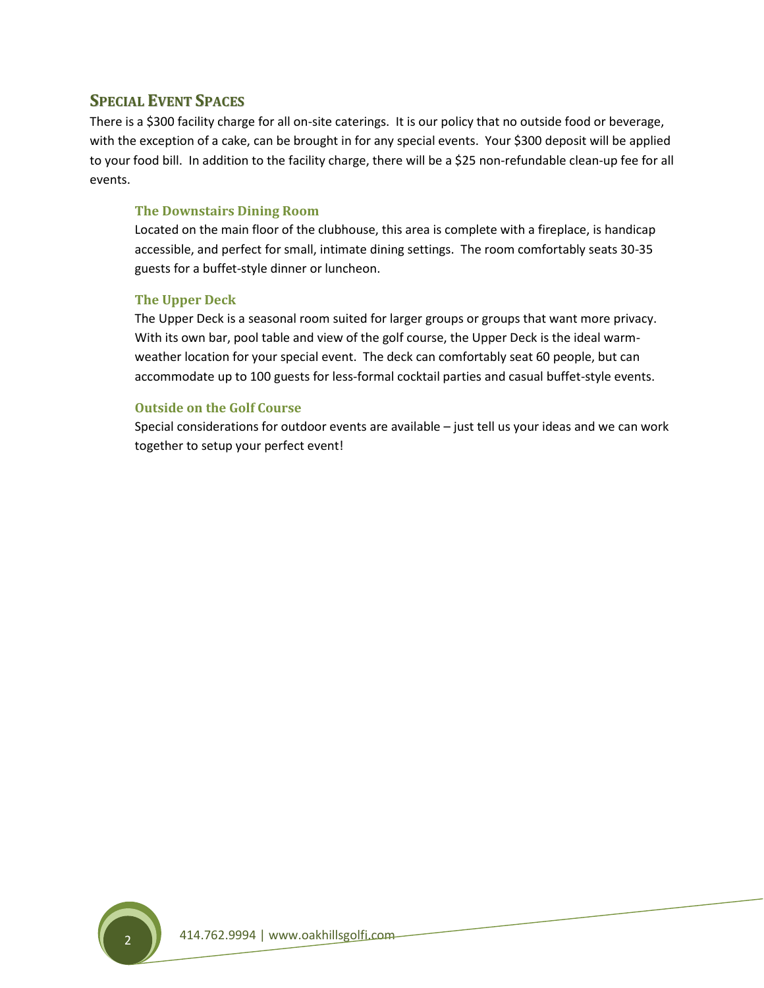# **SPECIAL EVENT SPACES**

There is a \$300 facility charge for all on-site caterings. It is our policy that no outside food or beverage, with the exception of a cake, can be brought in for any special events. Your \$300 deposit will be applied to your food bill. In addition to the facility charge, there will be a \$25 non-refundable clean-up fee for all events.

## **The Downstairs Dining Room**

Located on the main floor of the clubhouse, this area is complete with a fireplace, is handicap accessible, and perfect for small, intimate dining settings. The room comfortably seats 30-35 guests for a buffet-style dinner or luncheon.

## **The Upper Deck**

The Upper Deck is a seasonal room suited for larger groups or groups that want more privacy. With its own bar, pool table and view of the golf course, the Upper Deck is the ideal warmweather location for your special event. The deck can comfortably seat 60 people, but can accommodate up to 100 guests for less-formal cocktail parties and casual buffet-style events.

## **Outside on the Golf Course**

Special considerations for outdoor events are available – just tell us your ideas and we can work together to setup your perfect event!

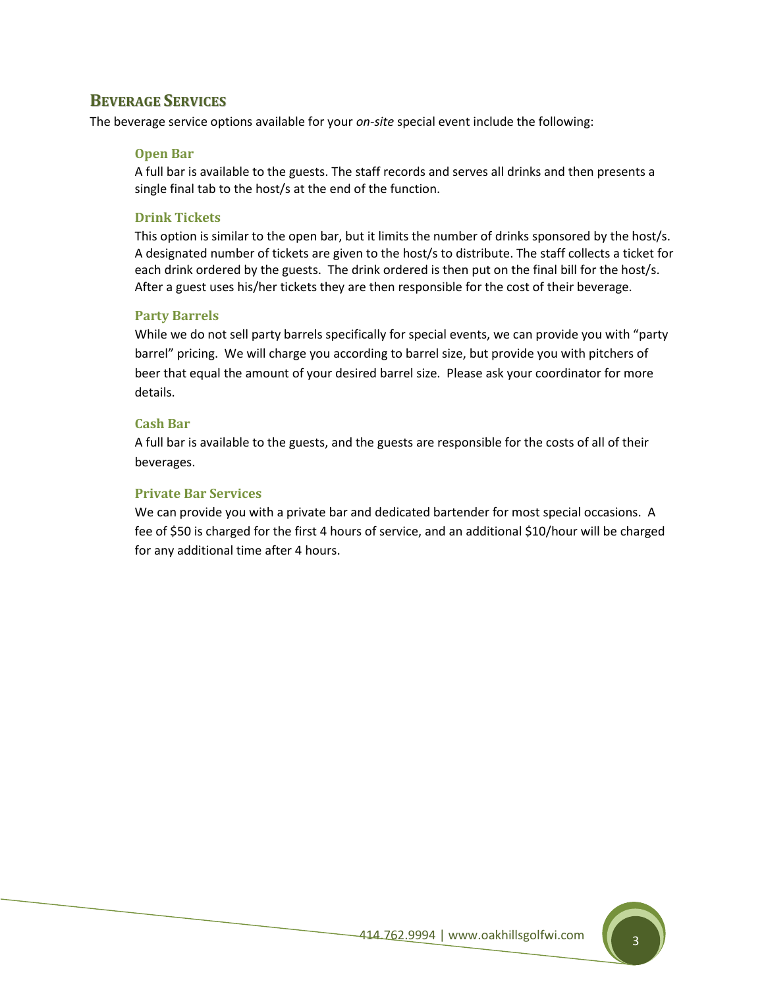# **BEVERAGE SERVICES**

The beverage service options available for your *on-site* special event include the following:

## **Open Bar**

A full bar is available to the guests. The staff records and serves all drinks and then presents a single final tab to the host/s at the end of the function.

## **Drink Tickets**

This option is similar to the open bar, but it limits the number of drinks sponsored by the host/s. A designated number of tickets are given to the host/s to distribute. The staff collects a ticket for each drink ordered by the guests. The drink ordered is then put on the final bill for the host/s. After a guest uses his/her tickets they are then responsible for the cost of their beverage.

## **Party Barrels**

While we do not sell party barrels specifically for special events, we can provide you with "party barrel" pricing. We will charge you according to barrel size, but provide you with pitchers of beer that equal the amount of your desired barrel size. Please ask your coordinator for more details.

## **Cash Bar**

A full bar is available to the guests, and the guests are responsible for the costs of all of their beverages.

## **Private Bar Services**

We can provide you with a private bar and dedicated bartender for most special occasions. A fee of \$50 is charged for the first 4 hours of service, and an additional \$10/hour will be charged for any additional time after 4 hours.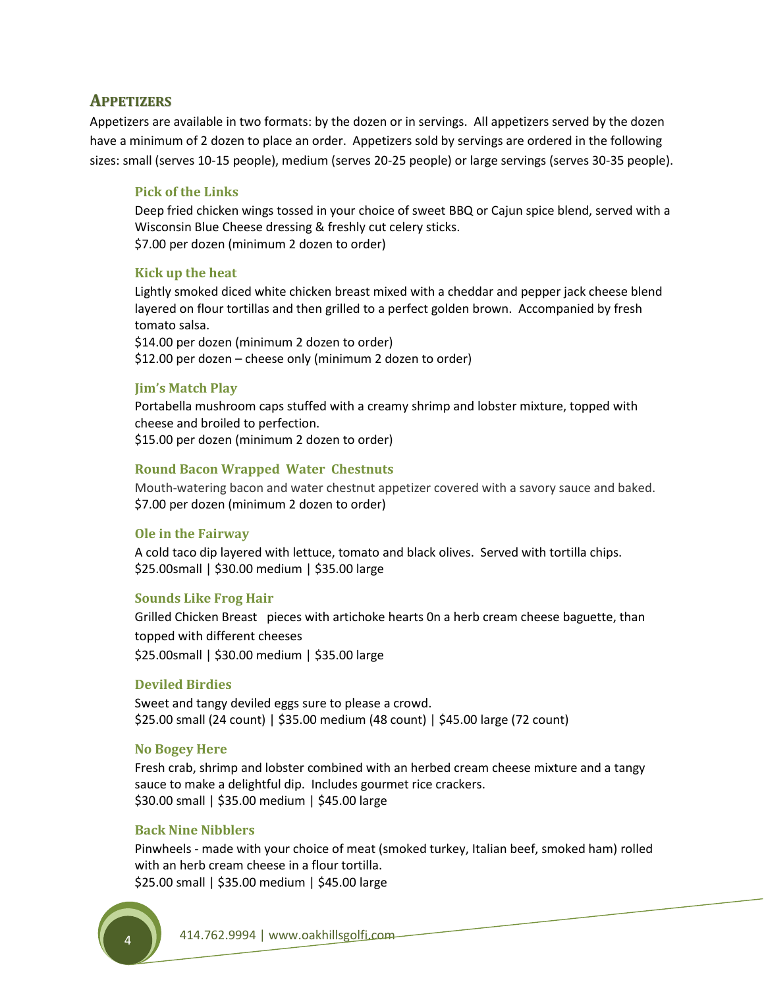# **APPETIZERS**

Appetizers are available in two formats: by the dozen or in servings. All appetizers served by the dozen have a minimum of 2 dozen to place an order. Appetizers sold by servings are ordered in the following sizes: small (serves 10-15 people), medium (serves 20-25 people) or large servings (serves 30-35 people).

## **Pick of the Links**

Deep fried chicken wings tossed in your choice of sweet BBQ or Cajun spice blend, served with a Wisconsin Blue Cheese dressing & freshly cut celery sticks. \$7.00 per dozen (minimum 2 dozen to order)

## **Kick up the heat**

Lightly smoked diced white chicken breast mixed with a cheddar and pepper jack cheese blend layered on flour tortillas and then grilled to a perfect golden brown. Accompanied by fresh tomato salsa. \$14.00 per dozen (minimum 2 dozen to order) \$12.00 per dozen – cheese only (minimum 2 dozen to order)

## **Jim's Match Play**

Portabella mushroom caps stuffed with a creamy shrimp and lobster mixture, topped with cheese and broiled to perfection. \$15.00 per dozen (minimum 2 dozen to order)

## **Round Bacon Wrapped Water Chestnuts**

Mouth-watering bacon and water chestnut appetizer covered with a savory sauce and baked. \$7.00 per dozen (minimum 2 dozen to order)

## **Ole in the Fairway**

A cold taco dip layered with lettuce, tomato and black olives. Served with tortilla chips. \$25.00small | \$30.00 medium | \$35.00 large

## **Sounds Like Frog Hair**

Grilled Chicken Breast pieces with artichoke hearts 0n a herb cream cheese baguette, than topped with different cheeses \$25.00small | \$30.00 medium | \$35.00 large

## **Deviled Birdies**

Sweet and tangy deviled eggs sure to please a crowd. \$25.00 small (24 count) | \$35.00 medium (48 count) | \$45.00 large (72 count)

## **No Bogey Here**

Fresh crab, shrimp and lobster combined with an herbed cream cheese mixture and a tangy sauce to make a delightful dip. Includes gourmet rice crackers. \$30.00 small | \$35.00 medium | \$45.00 large

## **Back Nine Nibblers**

Pinwheels - made with your choice of meat (smoked turkey, Italian beef, smoked ham) rolled with an herb cream cheese in a flour tortilla. \$25.00 small | \$35.00 medium | \$45.00 large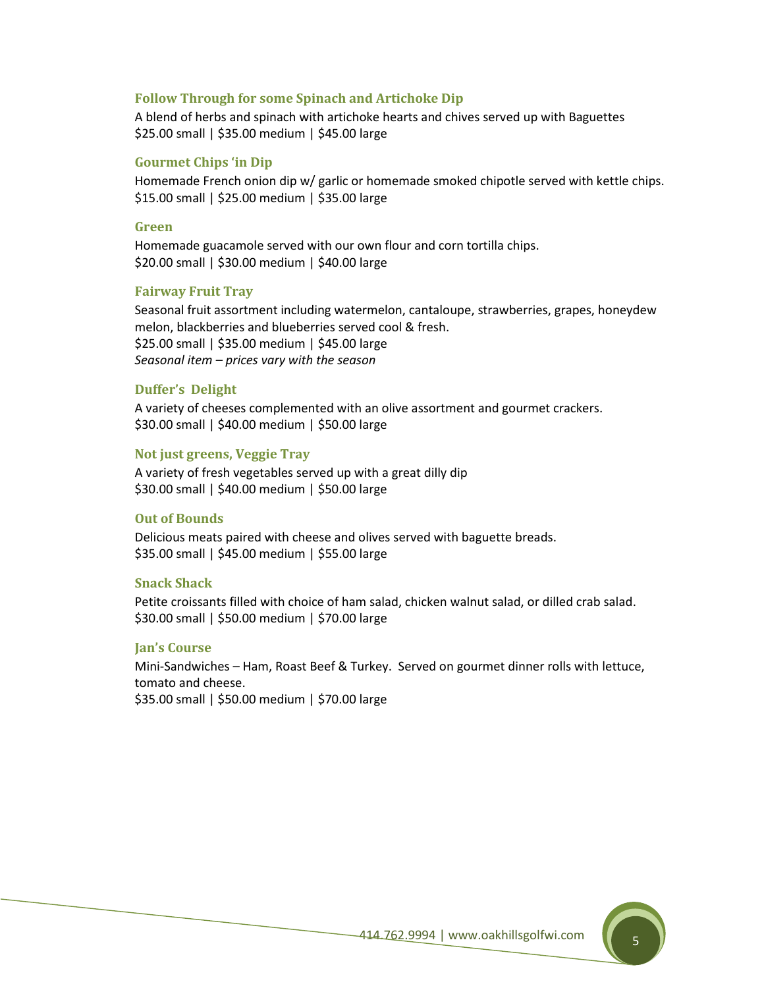#### **Follow Through for some Spinach and Artichoke Dip**

A blend of herbs and spinach with artichoke hearts and chives served up with Baguettes \$25.00 small | \$35.00 medium | \$45.00 large

#### **Gourmet Chips 'in Dip**

Homemade French onion dip w/ garlic or homemade smoked chipotle served with kettle chips. \$15.00 small | \$25.00 medium | \$35.00 large

#### **Green**

Homemade guacamole served with our own flour and corn tortilla chips. \$20.00 small | \$30.00 medium | \$40.00 large

#### **Fairway Fruit Tray**

Seasonal fruit assortment including watermelon, cantaloupe, strawberries, grapes, honeydew melon, blackberries and blueberries served cool & fresh. \$25.00 small | \$35.00 medium | \$45.00 large *Seasonal item – prices vary with the season*

#### **Duffer's Delight**

A variety of cheeses complemented with an olive assortment and gourmet crackers. \$30.00 small | \$40.00 medium | \$50.00 large

#### **Not just greens, Veggie Tray**

A variety of fresh vegetables served up with a great dilly dip \$30.00 small | \$40.00 medium | \$50.00 large

#### **Out of Bounds**

Delicious meats paired with cheese and olives served with baguette breads. \$35.00 small | \$45.00 medium | \$55.00 large

#### **Snack Shack**

Petite croissants filled with choice of ham salad, chicken walnut salad, or dilled crab salad. \$30.00 small | \$50.00 medium | \$70.00 large

#### **Jan's Course**

Mini-Sandwiches – Ham, Roast Beef & Turkey. Served on gourmet dinner rolls with lettuce, tomato and cheese.

\$35.00 small | \$50.00 medium | \$70.00 large

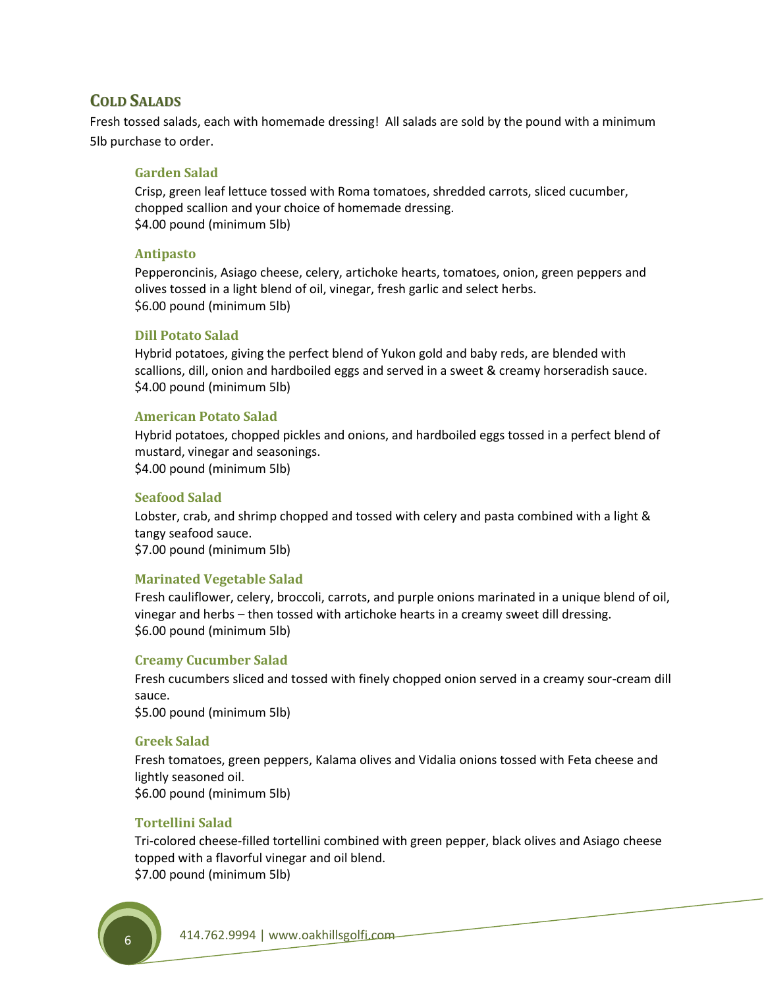# **COLD SALADS**

Fresh tossed salads, each with homemade dressing! All salads are sold by the pound with a minimum 5lb purchase to order.

#### **Garden Salad**

Crisp, green leaf lettuce tossed with Roma tomatoes, shredded carrots, sliced cucumber, chopped scallion and your choice of homemade dressing. \$4.00 pound (minimum 5lb)

#### **Antipasto**

Pepperoncinis, Asiago cheese, celery, artichoke hearts, tomatoes, onion, green peppers and olives tossed in a light blend of oil, vinegar, fresh garlic and select herbs. \$6.00 pound (minimum 5lb)

#### **Dill Potato Salad**

Hybrid potatoes, giving the perfect blend of Yukon gold and baby reds, are blended with scallions, dill, onion and hardboiled eggs and served in a sweet & creamy horseradish sauce. \$4.00 pound (minimum 5lb)

## **American Potato Salad**

Hybrid potatoes, chopped pickles and onions, and hardboiled eggs tossed in a perfect blend of mustard, vinegar and seasonings. \$4.00 pound (minimum 5lb)

#### **Seafood Salad**

Lobster, crab, and shrimp chopped and tossed with celery and pasta combined with a light & tangy seafood sauce. \$7.00 pound (minimum 5lb)

#### **Marinated Vegetable Salad**

Fresh cauliflower, celery, broccoli, carrots, and purple onions marinated in a unique blend of oil, vinegar and herbs – then tossed with artichoke hearts in a creamy sweet dill dressing. \$6.00 pound (minimum 5lb)

#### **Creamy Cucumber Salad**

Fresh cucumbers sliced and tossed with finely chopped onion served in a creamy sour-cream dill sauce.

\$5.00 pound (minimum 5lb)

#### **Greek Salad**

Fresh tomatoes, green peppers, Kalama olives and Vidalia onions tossed with Feta cheese and lightly seasoned oil. \$6.00 pound (minimum 5lb)

#### **Tortellini Salad**

Tri-colored cheese-filled tortellini combined with green pepper, black olives and Asiago cheese topped with a flavorful vinegar and oil blend. \$7.00 pound (minimum 5lb)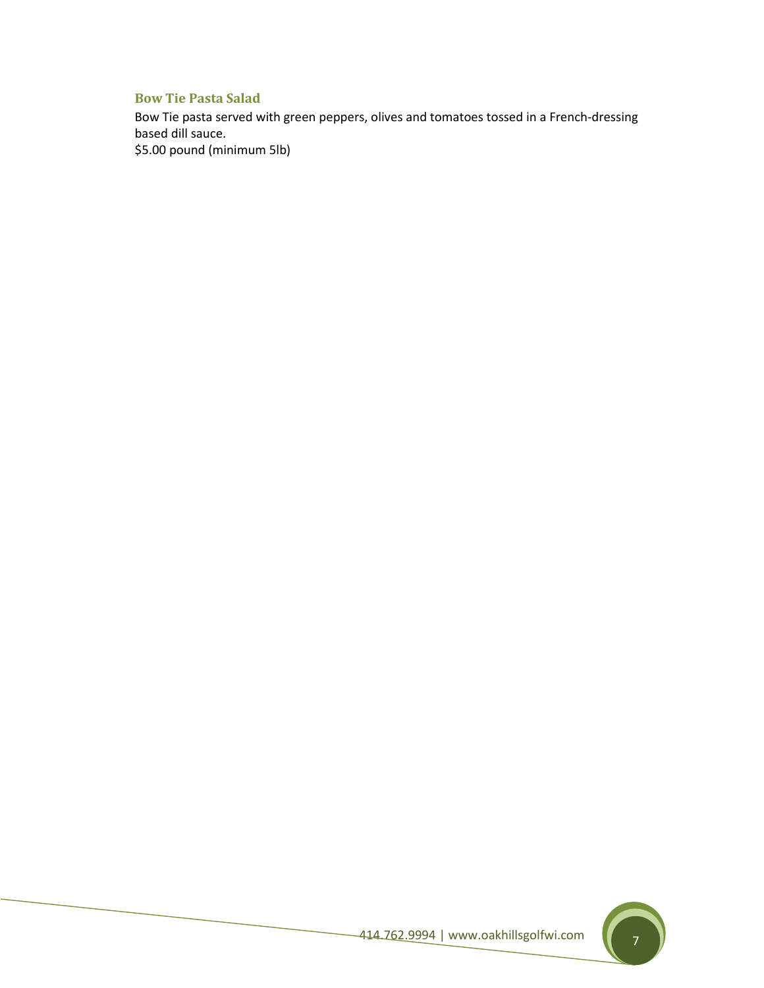# **Bow Tie Pasta Salad**

Bow Tie pasta served with green peppers, olives and tomatoes tossed in a French-dressing based dill sauce.

\$5.00 pound (minimum 5lb)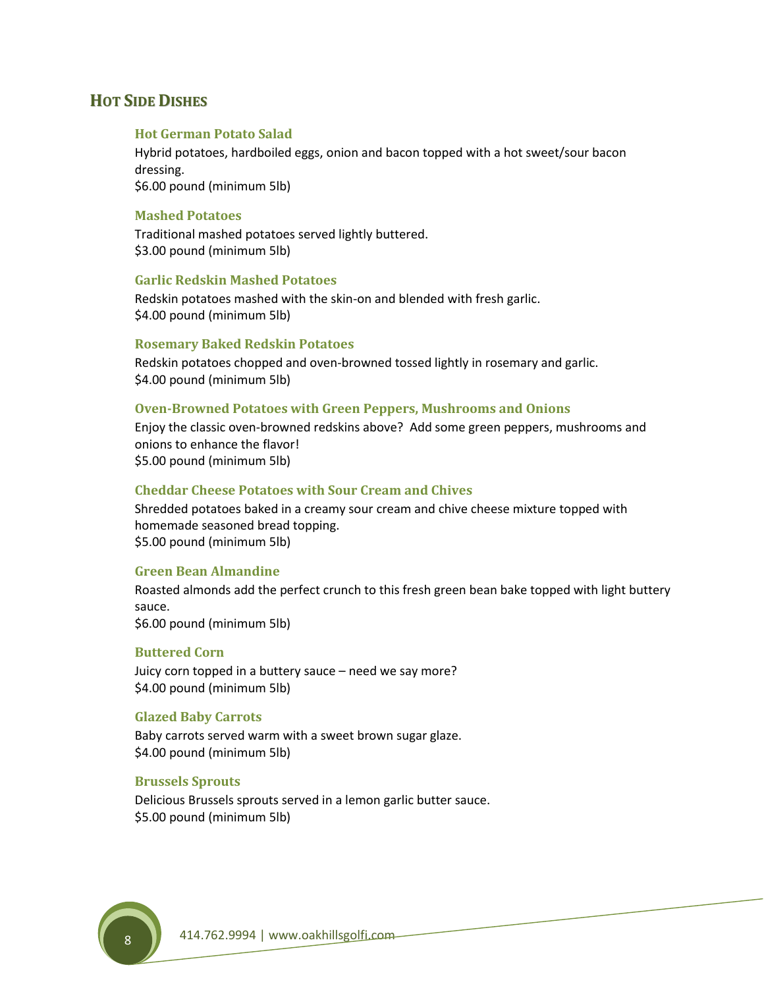# **HOT SIDE DISHES**

#### **Hot German Potato Salad**

Hybrid potatoes, hardboiled eggs, onion and bacon topped with a hot sweet/sour bacon dressing. \$6.00 pound (minimum 5lb)

#### **Mashed Potatoes**

Traditional mashed potatoes served lightly buttered. \$3.00 pound (minimum 5lb)

#### **Garlic Redskin Mashed Potatoes**

Redskin potatoes mashed with the skin-on and blended with fresh garlic. \$4.00 pound (minimum 5lb)

#### **Rosemary Baked Redskin Potatoes**

Redskin potatoes chopped and oven-browned tossed lightly in rosemary and garlic. \$4.00 pound (minimum 5lb)

#### **Oven-Browned Potatoes with Green Peppers, Mushrooms and Onions**

Enjoy the classic oven-browned redskins above? Add some green peppers, mushrooms and onions to enhance the flavor! \$5.00 pound (minimum 5lb)

#### **Cheddar Cheese Potatoes with Sour Cream and Chives**

Shredded potatoes baked in a creamy sour cream and chive cheese mixture topped with homemade seasoned bread topping. \$5.00 pound (minimum 5lb)

#### **Green Bean Almandine**

Roasted almonds add the perfect crunch to this fresh green bean bake topped with light buttery sauce. \$6.00 pound (minimum 5lb)

#### **Buttered Corn**

Juicy corn topped in a buttery sauce – need we say more? \$4.00 pound (minimum 5lb)

#### **Glazed Baby Carrots**

Baby carrots served warm with a sweet brown sugar glaze. \$4.00 pound (minimum 5lb)

## **Brussels Sprouts**

Delicious Brussels sprouts served in a lemon garlic butter sauce. \$5.00 pound (minimum 5lb)

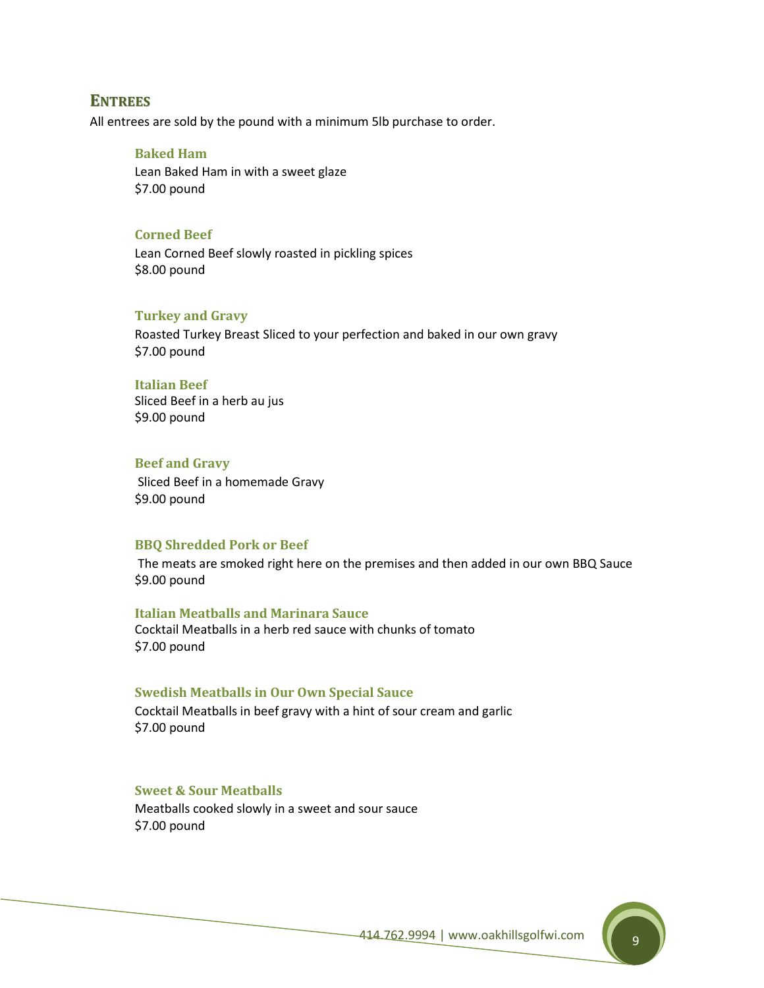## **ENTREES**

All entrees are sold by the pound with a minimum 5lb purchase to order.

#### **Baked Ham**

Lean Baked Ham in with a sweet glaze \$7.00 pound

#### **Corned Beef**

Lean Corned Beef slowly roasted in pickling spices \$8.00 pound

#### **Turkey and Gravy**

Roasted Turkey Breast Sliced to your perfection and baked in our own gravy \$7.00 pound

#### **Italian Beef**

Sliced Beef in a herb au jus \$9.00 pound

#### **Beef and Gravy**

Sliced Beef in a homemade Gravy \$9.00 pound

#### **BBQ Shredded Pork or Beef**

The meats are smoked right here on the premises and then added in our own BBQ Sauce \$9.00 pound

#### **Italian Meatballs and Marinara Sauce**

Cocktail Meatballs in a herb red sauce with chunks of tomato \$7.00 pound

#### **Swedish Meatballs in Our Own Special Sauce**

Cocktail Meatballs in beef gravy with a hint of sour cream and garlic \$7.00 pound

### **Sweet & Sour Meatballs**

Meatballs cooked slowly in a sweet and sour sauce \$7.00 pound